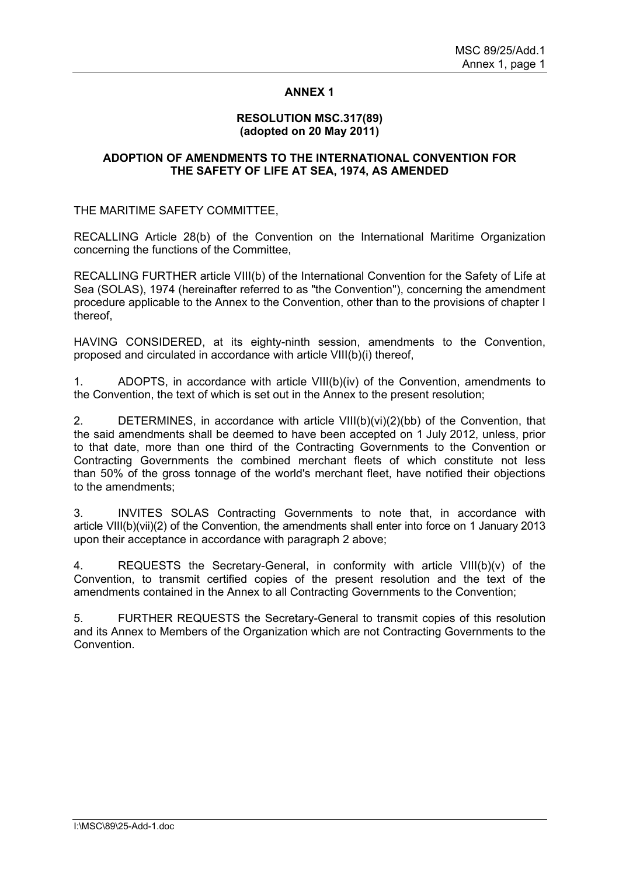# **ANNEX 1**

#### **RESOLUTION MSC.317(89) (adopted on 20 May 2011)**

### **ADOPTION OF AMENDMENTS TO THE INTERNATIONAL CONVENTION FOR THE SAFETY OF LIFE AT SEA, 1974, AS AMENDED**

THE MARITIME SAFETY COMMITTEE,

RECALLING Article 28(b) of the Convention on the International Maritime Organization concerning the functions of the Committee,

RECALLING FURTHER article VIII(b) of the International Convention for the Safety of Life at Sea (SOLAS), 1974 (hereinafter referred to as "the Convention"), concerning the amendment procedure applicable to the Annex to the Convention, other than to the provisions of chapter I thereof,

HAVING CONSIDERED, at its eighty-ninth session, amendments to the Convention, proposed and circulated in accordance with article VIII(b)(i) thereof,

1. ADOPTS, in accordance with article VIII(b)(iv) of the Convention, amendments to the Convention, the text of which is set out in the Annex to the present resolution;

2. DETERMINES, in accordance with article VIII(b)(vi)(2)(bb) of the Convention, that the said amendments shall be deemed to have been accepted on 1 July 2012, unless, prior to that date, more than one third of the Contracting Governments to the Convention or Contracting Governments the combined merchant fleets of which constitute not less than 50% of the gross tonnage of the world's merchant fleet, have notified their objections to the amendments;

3. INVITES SOLAS Contracting Governments to note that, in accordance with article VIII(b)(vii)(2) of the Convention, the amendments shall enter into force on 1 January 2013 upon their acceptance in accordance with paragraph 2 above;

4. REQUESTS the Secretary-General, in conformity with article VIII(b)(v) of the Convention, to transmit certified copies of the present resolution and the text of the amendments contained in the Annex to all Contracting Governments to the Convention;

5. FURTHER REQUESTS the Secretary-General to transmit copies of this resolution and its Annex to Members of the Organization which are not Contracting Governments to the Convention.